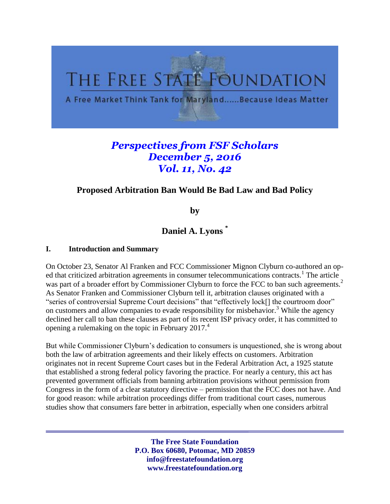

# *Perspectives from FSF Scholars December 5, 2016 Vol. 11, No. 42*

## **Proposed Arbitration Ban Would Be Bad Law and Bad Policy**

<span id="page-0-0"></span>**by**

**Daniel A. Lyons \***

#### **I. Introduction and Summary**

On October 23, Senator Al Franken and FCC Commissioner Mignon Clyburn co-authored an oped that criticized arbitration agreements in consumer telecommunications contracts.<sup>1</sup> The article was part of a broader effort by Commissioner Clyburn to force the FCC to ban such agreements.<sup>2</sup> As Senator Franken and Commissioner Clyburn tell it, arbitration clauses originated with a "series of controversial Supreme Court decisions" that "effectively lock[] the courtroom door" on customers and allow companies to evade responsibility for misbehavior.<sup>3</sup> While the agency declined her call to ban these clauses as part of its recent ISP privacy order, it has committed to opening a rulemaking on the topic in February 2017.<sup>4</sup>

But while Commissioner Clyburn's dedication to consumers is unquestioned, she is wrong about both the law of arbitration agreements and their likely effects on customers. Arbitration originates not in recent Supreme Court cases but in the Federal Arbitration Act, a 1925 statute that established a strong federal policy favoring the practice. For nearly a century, this act has prevented government officials from banning arbitration provisions without permission from Congress in the form of a clear statutory directive – permission that the FCC does not have. And for good reason: while arbitration proceedings differ from traditional court cases, numerous studies show that consumers fare better in arbitration, especially when one considers arbitral

> **The Free State Foundation P.O. Box 60680, Potomac, MD 20859 info@freestatefoundation.org www.freestatefoundation.org**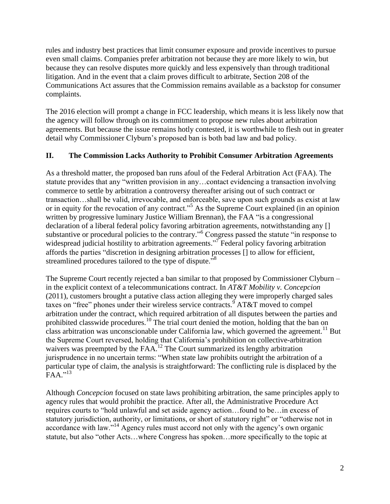rules and industry best practices that limit consumer exposure and provide incentives to pursue even small claims. Companies prefer arbitration not because they are more likely to win, but because they can resolve disputes more quickly and less expensively than through traditional litigation. And in the event that a claim proves difficult to arbitrate, Section 208 of the Communications Act assures that the Commission remains available as a backstop for consumer complaints.

The 2016 election will prompt a change in FCC leadership, which means it is less likely now that the agency will follow through on its commitment to propose new rules about arbitration agreements. But because the issue remains hotly contested, it is worthwhile to flesh out in greater detail why Commissioner Clyburn's proposed ban is both bad law and bad policy.

#### **II. The Commission Lacks Authority to Prohibit Consumer Arbitration Agreements**

As a threshold matter, the proposed ban runs afoul of the Federal Arbitration Act (FAA). The statute provides that any "written provision in any…contact evidencing a transaction involving commerce to settle by arbitration a controversy thereafter arising out of such contract or transaction…shall be valid, irrevocable, and enforceable, save upon such grounds as exist at law or in equity for the revocation of any contract."<sup>5</sup> As the Supreme Court explained (in an opinion written by progressive luminary Justice William Brennan), the FAA "is a congressional declaration of a liberal federal policy favoring arbitration agreements, notwithstanding any [] substantive or procedural policies to the contrary."<sup>6</sup> Congress passed the statute "in response to widespread judicial hostility to arbitration agreements."<sup>7</sup> Federal policy favoring arbitration affords the parties "discretion in designing arbitration processes [] to allow for efficient, streamlined procedures tailored to the type of dispute."<sup>8</sup>

The Supreme Court recently rejected a ban similar to that proposed by Commissioner Clyburn – in the explicit context of a telecommunications contract. In *AT&T Mobility v. Concepcion* (2011), customers brought a putative class action alleging they were improperly charged sales taxes on "free" phones under their wireless service contracts. AT&T moved to compel arbitration under the contract, which required arbitration of all disputes between the parties and prohibited classwide procedures.<sup>10</sup> The trial court denied the motion, holding that the ban on class arbitration was unconscionable under California law, which governed the agreement.<sup>11</sup> But the Supreme Court reversed, holding that California's prohibition on collective-arbitration waivers was preempted by the FAA.<sup>12</sup> The Court summarized its lengthy arbitration jurisprudence in no uncertain terms: "When state law prohibits outright the arbitration of a particular type of claim, the analysis is straightforward: The conflicting rule is displaced by the .<br>FAA.''<sup>13</sup>

Although *Concepcion* focused on state laws prohibiting arbitration, the same principles apply to agency rules that would prohibit the practice. After all, the Administrative Procedure Act requires courts to "hold unlawful and set aside agency action…found to be…in excess of statutory jurisdiction, authority, or limitations, or short of statutory right" or "otherwise not in accordance with law."<sup>14</sup> Agency rules must accord not only with the agency's own organic statute, but also "other Acts…where Congress has spoken…more specifically to the topic at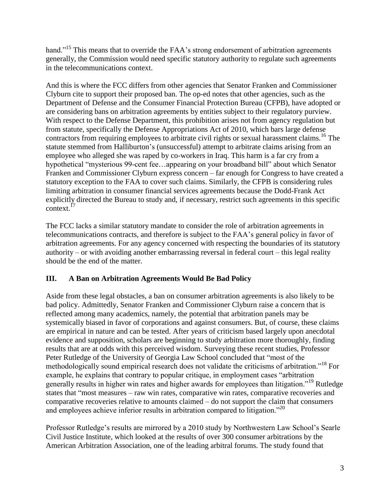hand."<sup>15</sup> This means that to override the FAA's strong endorsement of arbitration agreements generally, the Commission would need specific statutory authority to regulate such agreements in the telecommunications context.

And this is where the FCC differs from other agencies that Senator Franken and Commissioner Clyburn cite to support their proposed ban. The op-ed notes that other agencies, such as the Department of Defense and the Consumer Financial Protection Bureau (CFPB), have adopted or are considering bans on arbitration agreements by entities subject to their regulatory purview. With respect to the Defense Department, this prohibition arises not from agency regulation but from statute, specifically the Defense Appropriations Act of 2010, which bars large defense contractors from requiring employees to arbitrate civil rights or sexual harassment claims.<sup>16</sup> The statute stemmed from Halliburton's (unsuccessful) attempt to arbitrate claims arising from an employee who alleged she was raped by co-workers in Iraq. This harm is a far cry from a hypothetical "mysterious 99-cent fee…appearing on your broadband bill" about which Senator Franken and Commissioner Clyburn express concern – far enough for Congress to have created a statutory exception to the FAA to cover such claims. Similarly, the CFPB is considering rules limiting arbitration in consumer financial services agreements because the Dodd-Frank Act explicitly directed the Bureau to study and, if necessary, restrict such agreements in this specific context.<sup>17</sup>

The FCC lacks a similar statutory mandate to consider the role of arbitration agreements in telecommunications contracts, and therefore is subject to the FAA's general policy in favor of arbitration agreements. For any agency concerned with respecting the boundaries of its statutory authority – or with avoiding another embarrassing reversal in federal court – this legal reality should be the end of the matter.

### **III. A Ban on Arbitration Agreements Would Be Bad Policy**

Aside from these legal obstacles, a ban on consumer arbitration agreements is also likely to be bad policy. Admittedly, Senator Franken and Commissioner Clyburn raise a concern that is reflected among many academics, namely, the potential that arbitration panels may be systemically biased in favor of corporations and against consumers. But, of course, these claims are empirical in nature and can be tested. After years of criticism based largely upon anecdotal evidence and supposition, scholars are beginning to study arbitration more thoroughly, finding results that are at odds with this perceived wisdom. Surveying these recent studies, Professor Peter Rutledge of the University of Georgia Law School concluded that "most of the methodologically sound empirical research does not validate the criticisms of arbitration."<sup>18</sup> For example, he explains that contrary to popular critique, in employment cases "arbitration generally results in higher win rates and higher awards for employees than litigation."<sup>19</sup> Rutledge states that "most measures – raw win rates, comparative win rates, comparative recoveries and comparative recoveries relative to amounts claimed – do not support the claim that consumers and employees achieve inferior results in arbitration compared to litigation."<sup>20</sup>

Professor Rutledge's results are mirrored by a 2010 study by Northwestern Law School's Searle Civil Justice Institute, which looked at the results of over 300 consumer arbitrations by the American Arbitration Association, one of the leading arbitral forums. The study found that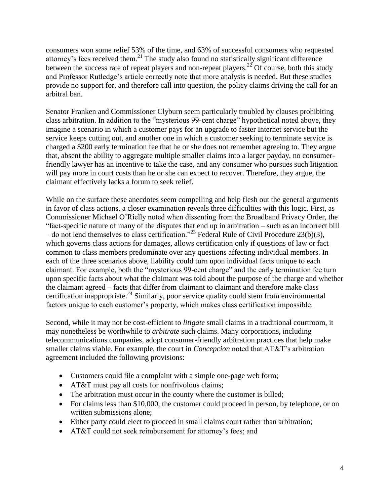<span id="page-3-0"></span>consumers won some relief 53% of the time, and 63% of successful consumers who requested attorney's fees received them. $^{21}$  The study also found no statistically significant difference between the success rate of repeat players and non-repeat players.<sup>22</sup> Of course, both this study and Professor Rutledge's article correctly note that more analysis is needed. But these studies provide no support for, and therefore call into question, the policy claims driving the call for an arbitral ban.

Senator Franken and Commissioner Clyburn seem particularly troubled by clauses prohibiting class arbitration. In addition to the "mysterious 99-cent charge" hypothetical noted above, they imagine a scenario in which a customer pays for an upgrade to faster Internet service but the service keeps cutting out, and another one in which a customer seeking to terminate service is charged a \$200 early termination fee that he or she does not remember agreeing to. They argue that, absent the ability to aggregate multiple smaller claims into a larger payday, no consumerfriendly lawyer has an incentive to take the case, and any consumer who pursues such litigation will pay more in court costs than he or she can expect to recover. Therefore, they argue, the claimant effectively lacks a forum to seek relief.

While on the surface these anecdotes seem compelling and help flesh out the general arguments in favor of class actions, a closer examination reveals three difficulties with this logic. First, as Commissioner Michael O'Rielly noted when dissenting from the Broadband Privacy Order, the "fact-specific nature of many of the disputes that end up in arbitration – such as an incorrect bill – do not lend themselves to class certification."<sup>23</sup> Federal Rule of Civil Procedure 23(b)(3), which governs class actions for damages, allows certification only if questions of law or fact common to class members predominate over any questions affecting individual members. In each of the three scenarios above, liability could turn upon individual facts unique to each claimant. For example, both the "mysterious 99-cent charge" and the early termination fee turn upon specific facts about what the claimant was told about the purpose of the charge and whether the claimant agreed – facts that differ from claimant to claimant and therefore make class certification inappropriate.<sup>24</sup> Similarly, poor service quality could stem from environmental factors unique to each customer's property, which makes class certification impossible.

Second, while it may not be cost-efficient to *litigate* small claims in a traditional courtroom, it may nonetheless be worthwhile to *arbitrate* such claims. Many corporations, including telecommunications companies, adopt consumer-friendly arbitration practices that help make smaller claims viable. For example, the court in *Concepcion* noted that AT&T's arbitration agreement included the following provisions:

- Customers could file a complaint with a simple one-page web form;
- AT&T must pay all costs for nonfrivolous claims;
- The arbitration must occur in the county where the customer is billed;
- For claims less than \$10,000, the customer could proceed in person, by telephone, or on written submissions alone;
- Either party could elect to proceed in small claims court rather than arbitration;
- AT&T could not seek reimbursement for attorney's fees; and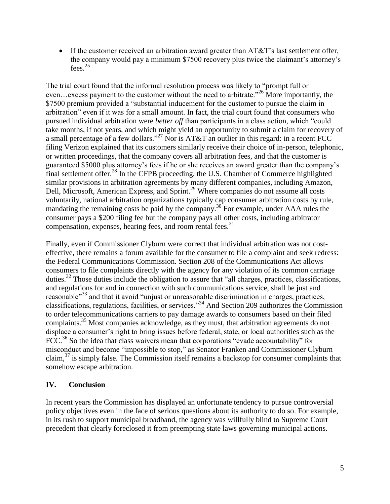If the customer received an arbitration award greater than  $AT&T$ 's last settlement offer, the company would pay a minimum \$7500 recovery plus twice the claimant's attorney's fees.<sup>25</sup>

The trial court found that the informal resolution process was likely to "prompt full or even…excess payment to the customer without the need to arbitrate."<sup>26</sup> More importantly, the \$7500 premium provided a "substantial inducement for the customer to pursue the claim in arbitration" even if it was for a small amount. In fact, the trial court found that consumers who pursued individual arbitration were *better off* than participants in a class action, which "could take months, if not years, and which might yield an opportunity to submit a claim for recovery of a small percentage of a few dollars."<sup>27</sup> Nor is AT&T an outlier in this regard: in a recent FCC filing Verizon explained that its customers similarly receive their choice of in-person, telephonic, or written proceedings, that the company covers all arbitration fees, and that the customer is guaranteed \$5000 plus attorney's fees if he or she receives an award greater than the company's final settlement offer.<sup>28</sup> In the CFPB proceeding, the U.S. Chamber of Commerce highlighted similar provisions in arbitration agreements by many different companies, including Amazon, Dell, Microsoft, American Express, and Sprint.<sup>29</sup> Where companies do not assume all costs voluntarily, national arbitration organizations typically cap consumer arbitration costs by rule, mandating the remaining costs be paid by the company.<sup>30</sup> For example, under AAA rules the consumer pays a \$200 filing fee but the company pays all other costs, including arbitrator compensation, expenses, hearing fees, and room rental fees.<sup>31</sup>

<span id="page-4-0"></span>Finally, even if Commissioner Clyburn were correct that individual arbitration was not costeffective, there remains a forum available for the consumer to file a complaint and seek redress: the Federal Communications Commission. Section 208 of the Communications Act allows consumers to file complaints directly with the agency for any violation of its common carriage duties.<sup>32</sup> Those duties include the obligation to assure that "all charges, practices, classifications, and regulations for and in connection with such communications service, shall be just and reasonable<sup>33</sup> and that it avoid "unjust or unreasonable discrimination in charges, practices, classifications, regulations, facilities, or services."<sup>34</sup> And Section 209 authorizes the Commission to order telecommunications carriers to pay damage awards to consumers based on their filed complaints.<sup>35</sup> Most companies acknowledge, as they must, that arbitration agreements do not displace a consumer's right to bring issues before federal, state, or local authorities such as the FCC.<sup>36</sup> So the idea that class waivers mean that corporations "evade accountability" for misconduct and become "impossible to stop," as Senator Franken and Commissioner Clyburn claim, $37$  is simply false. The Commission itself remains a backstop for consumer complaints that somehow escape arbitration.

#### **IV. Conclusion**

In recent years the Commission has displayed an unfortunate tendency to pursue controversial policy objectives even in the face of serious questions about its authority to do so. For example, in its rush to support municipal broadband, the agency was willfully blind to Supreme Court precedent that clearly foreclosed it from preempting state laws governing municipal actions.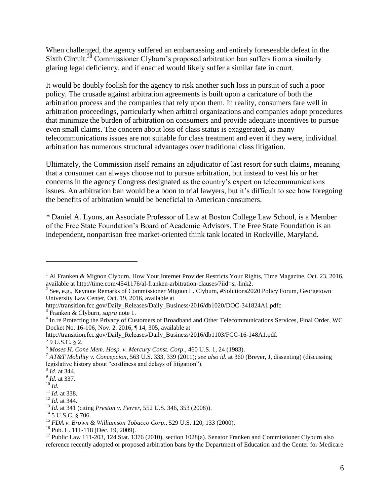When challenged, the agency suffered an embarrassing and entirely foreseeable defeat in the Sixth Circuit.<sup>38</sup> Commissioner Clyburn's proposed arbitration ban suffers from a similarly glaring legal deficiency, and if enacted would likely suffer a similar fate in court.

It would be doubly foolish for the agency to risk another such loss in pursuit of such a poor policy. The crusade against arbitration agreements is built upon a caricature of both the arbitration process and the companies that rely upon them. In reality, consumers fare well in arbitration proceedings, particularly when arbitral organizations and companies adopt procedures that minimize the burden of arbitration on consumers and provide adequate incentives to pursue even small claims. The concern about loss of class status is exaggerated, as many telecommunications issues are not suitable for class treatment and even if they were, individual arbitration has numerous structural advantages over traditional class litigation.

Ultimately, the Commission itself remains an adjudicator of last resort for such claims, meaning that a consumer can always choose not to pursue arbitration, but instead to vest his or her concerns in the agency Congress designated as the country's expert on telecommunications issues. An arbitration ban would be a boon to trial lawyers, but it's difficult to see how foregoing the benefits of arbitration would be beneficial to American consumers.

*\** Daniel A. Lyons, an Associate Professor of Law at Boston College Law School, is a Member of the Free State Foundation's Board of Academic Advisors. The Free State Foundation is an independent**,** nonpartisan free market-oriented think tank located in Rockville, Maryland.

http://transition.fcc.gov/Daily\_Releases/Daily\_Business/2016/db1020/DOC-341824A1.pdfc.

8 *Id.* at 344.

 $\overline{a}$ 

<sup>&</sup>lt;sup>1</sup> Al Franken & Mignon Clyburn, How Your Internet Provider Restricts Your Rights, Time Magazine, Oct. 23, 2016, available at http://time.com/4541176/al-franken-arbitration-clauses/?iid=sr-link2.

<sup>&</sup>lt;sup>2</sup> See, e.g., Keynote Remarks of Commissioner Mignon L. Clyburn, #Solutions2020 Policy Forum, Georgetown University Law Center, Oct. 19, 2016, available at

<sup>3</sup> Franken & Clyburn, *supra* note [1.](#page-0-0)

<sup>&</sup>lt;sup>4</sup> In re Protecting the Privacy of Customers of Broadband and Other Telecommunications Services, Final Order, WC Docket No. 16-106, Nov. 2. 2016, ¶ 14, 305, available at

http://transition.fcc.gov/Daily\_Releases/Daily\_Business/2016/db1103/FCC-16-148A1.pdf.

 $59$  U.S.C. § 2.

<sup>6</sup> *Moses H. Cone Mem. Hosp. v. Mercury Const. Corp*., 460 U.S. 1, 24 (1983).

<sup>7</sup> *AT&T Mobility v. Concepcion*, 563 U.S. 333, 339 (2011); *see also id*. at 360 (Breyer, J, dissenting) (discussing legislative history about "costliness and delays of litigation").

<sup>9</sup> *Id.* at 337.

<sup>10</sup> *Id.*

<sup>11</sup> *Id.* at 338.

<sup>12</sup> *Id.* at 344.

<sup>13</sup> *Id.* at 341 (citing *Preston v. Ferrer*, 552 U.S. 346, 353 (2008)).

 $14$  5 U.S.C. § 706.

<sup>15</sup> *FDA v. Brown & Williamson Tobacco Corp*., 529 U.S. 120, 133 (2000).

<sup>16</sup> Pub. L. 111-118 (Dec. 19, 2009).

<sup>&</sup>lt;sup>17</sup> Public Law 111-203, 124 Stat. 1376 (2010), section 1028(a). Senator Franken and Commissioner Clyburn also reference recently adopted or proposed arbitration bans by the Department of Education and the Center for Medicare